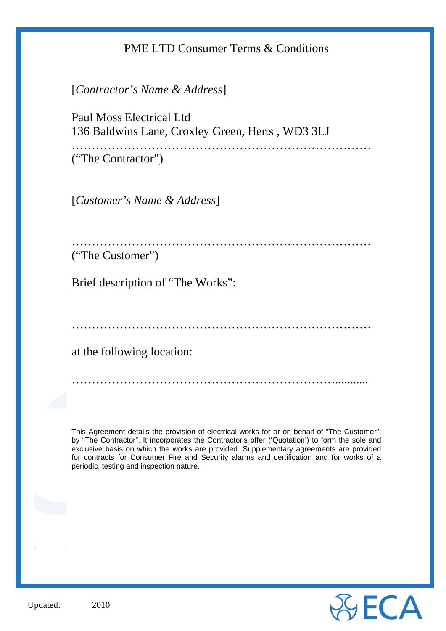# PME LTD Consumer Terms & Conditions

[*Contractor's Name & Address*]

Paul Moss Electrical Ltd 136 Baldwins Lane, Croxley Green, Herts , WD3 3LJ

………………………………………………………………… ("The Contractor")

[*Customer's Name & Address*]

………………………………………………………………… ("The Customer")

Brief description of "The Works":

…………………………………………………………………

…………………………………………………………...........

at the following location:

This Agreement details the provision of electrical works for or on behalf of "The Customer", by "The Contractor". It incorporates the Contractor's offer ('Quotation') to form the sole and exclusive basis on which the works are provided. Supplementary agreements are provided for contracts for Consumer Fire and Security alarms and certification and for works of a periodic, testing and inspection nature.

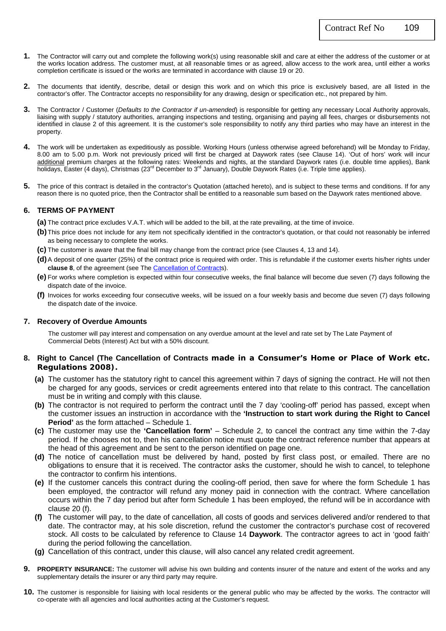- **1.** The Contractor will carry out and complete the following work(s) using reasonable skill and care at either the address of the customer or at the works location address. The customer must, at all reasonable times or as agreed, allow access to the work area, until either a works completion certificate is issued or the works are terminated in accordance with clause 19 or 20.
- **2.** The documents that identify, describe, detail or design this work and on which this price is exclusively based, are all listed in the contractor's offer. The Contractor accepts no responsibility for any drawing, design or specification etc., not prepared by him.
- **3.** The Contractor / Customer (*Defaults to the Contractor if un-amended*) is responsible for getting any necessary Local Authority approvals, liaising with supply / statutory authorities, arranging inspections and testing, organising and paying all fees, charges or disbursements not identified in clause 2 of this agreement. It is the customer's sole responsibility to notify any third parties who may have an interest in the property.
- **4.** The work will be undertaken as expeditiously as possible. Working Hours (unless otherwise agreed beforehand) will be Monday to Friday, 8.00 am to 5.00 p.m. Work not previously priced will first be charged at Daywork rates (see Clause 14). 'Out of hors' work will incur additional premium charges at the following rates: Weekends and nights, at the standard Daywork rates (i.e. double time applies), Bank holidays, Easter (4 days), Christmas (23rd December to 3rd January), Double Daywork Rates (i.e. Triple time applies).
- **5.** The price of this contract is detailed in the contractor's Quotation (attached hereto), and is subject to these terms and conditions. If for any reason there is no quoted price, then the Contractor shall be entitled to a reasonable sum based on the Daywork rates mentioned above.

### **6. TERMS OF PAYMENT**

- **(a)** The contract price excludes V.A.T. which will be added to the bill, at the rate prevailing, at the time of invoice.
- **(b)** This price does not include for any item not specifically identified in the contractor's quotation, or that could not reasonably be inferred as being necessary to complete the works.
- **(c)** The customer is aware that the final bill may change from the contract price (see Clauses 4, 13 and 14).
- **(d)** A deposit of one quarter (25%) of the contract price is required with order. This is refundable if the customer exerts his/her rights under **clause 8**, of the agreement (see The Cancellation of Contracts).
- **(e)** For works where completion is expected within four consecutive weeks, the final balance will become due seven (7) days following the dispatch date of the invoice.
- **(f)** Invoices for works exceeding four consecutive weeks, will be issued on a four weekly basis and become due seven (7) days following the dispatch date of the invoice.

### **7. Recovery of Overdue Amounts**

 The customer will pay interest and compensation on any overdue amount at the level and rate set by The Late Payment of Commercial Debts (Interest) Act but with a 50% discount.

### **8. Right to Cancel (The Cancellation of Contracts made in a Consumer's Home or Place of Work etc. Regulations 2008).**

- **(a)** The customer has the statutory right to cancel this agreement within 7 days of signing the contract. He will not then be charged for any goods, services or credit agreements entered into that relate to this contract. The cancellation must be in writing and comply with this clause.
- **(b)** The contractor is not required to perform the contract until the 7 day 'cooling-off' period has passed, except when the customer issues an instruction in accordance with the **'Instruction to start work during the Right to Cancel Period'** as the form attached – Schedule 1.
- **(c)** The customer may use the **'Cancellation form'** Schedule 2, to cancel the contract any time within the 7-day period. If he chooses not to, then his cancellation notice must quote the contract reference number that appears at the head of this agreement and be sent to the person identified on page one.
- **(d)** The notice of cancellation must be delivered by hand, posted by first class post, or emailed. There are no obligations to ensure that it is received. The contractor asks the customer, should he wish to cancel, to telephone the contractor to confirm his intentions.
- **(e)** If the customer cancels this contract during the cooling-off period, then save for where the form Schedule 1 has been employed, the contractor will refund any money paid in connection with the contract. Where cancellation occurs within the 7 day period but after form Schedule 1 has been employed, the refund will be in accordance with clause 20 (f).
- **(f)** The customer will pay, to the date of cancellation, all costs of goods and services delivered and/or rendered to that date. The contractor may, at his sole discretion, refund the customer the contractor's purchase cost of recovered stock. All costs to be calculated by reference to Clause 14 **Daywork**. The contractor agrees to act in 'good faith' during the period following the cancellation.
- **(g)** Cancellation of this contract, under this clause, will also cancel any related credit agreement.
- **9. PROPERTY INSURANCE:** The customer will advise his own building and contents insurer of the nature and extent of the works and any supplementary details the insurer or any third party may require.
- **10.** The customer is responsible for liaising with local residents or the general public who may be affected by the works. The contractor will co-operate with all agencies and local authorities acting at the Customer's request.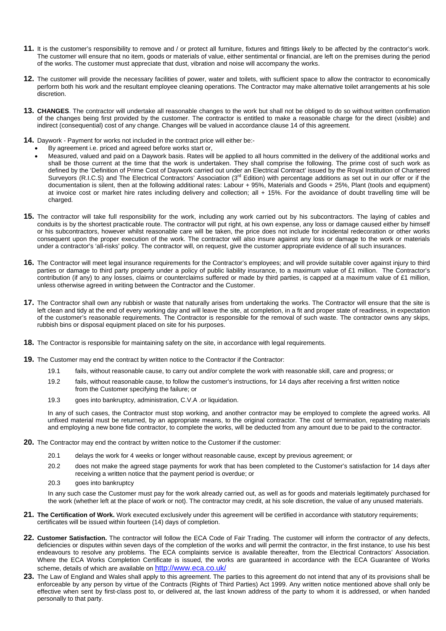- **11.** It is the customer's responsibility to remove and / or protect all furniture, fixtures and fittings likely to be affected by the contractor's work. The customer will ensure that no item, goods or materials of value, either sentimental or financial, are left on the premises during the period of the works. The customer must appreciate that dust, vibration and noise will accompany the works.
- **12.** The customer will provide the necessary facilities of power, water and toilets, with sufficient space to allow the contractor to economically perform both his work and the resultant employee cleaning operations. The Contractor may make alternative toilet arrangements at his sole discretion.
- **13. CHANGES**. The contractor will undertake all reasonable changes to the work but shall not be obliged to do so without written confirmation of the changes being first provided by the customer. The contractor is entitled to make a reasonable charge for the direct (visible) and indirect (consequential) cost of any change. Changes will be valued in accordance clause 14 of this agreement.
- **14.** Daywork Payment for works not included in the contract price will either be:-
	- By agreement i.e. priced and agreed before works start or,
	- Measured, valued and paid on a Daywork basis. Rates will be applied to all hours committed in the delivery of the additional works and shall be those current at the time that the work is undertaken. They shall comprise the following. The prime cost of such work as defined by the 'Definition of Prime Cost of Daywork carried out under an Electrical Contract' issued by the Royal Institution of Chartered Surveyors (R.I.C.S) and The Electrical Contractors' Association (3<sup>rd</sup> Edition) with percentage additions as set out in our offer or if the documentation is silent, then at the following additional rates: Labour + 95%, Materials and Goods + 25%, Plant (tools and equipment) at invoice cost or market hire rates including delivery and collection; all + 15%. For the avoidance of doubt travelling time will be charged.
- **15.** The contractor will take full responsibility for the work, including any work carried out by his subcontractors. The laying of cables and conduits is by the shortest practicable route. The contractor will put right, at his own expense, any loss or damage caused either by himself or his subcontractors, however whilst reasonable care will be taken, the price does not include for incidental redecoration or other works consequent upon the proper execution of the work. The contractor will also insure against any loss or damage to the work or materials under a contractor's 'all-risks' policy. The contractor will, on request, give the customer appropriate evidence of all such insurances.
- **16.** The Contractor will meet legal insurance requirements for the Contractor's employees; and will provide suitable cover against injury to third parties or damage to third party property under a policy of public liability insurance, to a maximum value of £1 million. The Contractor's contribution (if any) to any losses, claims or counterclaims suffered or made by third parties, is capped at a maximum value of £1 million, unless otherwise agreed in writing between the Contractor and the Customer.
- **17.** The Contractor shall own any rubbish or waste that naturally arises from undertaking the works. The Contractor will ensure that the site is left clean and tidy at the end of every working day and will leave the site, at completion, in a fit and proper state of readiness, in expectation of the customer's reasonable requirements. The Contractor is responsible for the removal of such waste. The contractor owns any skips, rubbish bins or disposal equipment placed on site for his purposes.
- **18.** The Contractor is responsible for maintaining safety on the site, in accordance with legal requirements.
- **19.** The Customer may end the contract by written notice to the Contractor if the Contractor:
	- 19.1 fails, without reasonable cause, to carry out and/or complete the work with reasonable skill, care and progress; or
	- 19.2 fails, without reasonable cause, to follow the customer's instructions, for 14 days after receiving a first written notice from the Customer specifying the failure; or
	- 19.3 goes into bankruptcy, administration, C.V.A .or liquidation.

In any of such cases, the Contractor must stop working, and another contractor may be employed to complete the agreed works. All unfixed material must be returned, by an appropriate means, to the original contractor. The cost of termination, repatriating materials and employing a new bone fide contractor, to complete the works, will be deducted from any amount due to be paid to the contractor.

- **20.** The Contractor may end the contract by written notice to the Customer if the customer:
	- 20.1 delays the work for 4 weeks or longer without reasonable cause, except by previous agreement; or
	- 20.2 does not make the agreed stage payments for work that has been completed to the Customer's satisfaction for 14 days after receiving a written notice that the payment period is overdue; or
	- goes into bankruptcy  $20.3$

In any such case the Customer must pay for the work already carried out, as well as for goods and materials legitimately purchased for the work (whether left at the place of work or not). The contractor may credit, at his sole discretion, the value of any unused materials.

- **21. The Certification of Work.** Work executed exclusively under this agreement will be certified in accordance with statutory requirements; certificates will be issued within fourteen (14) days of completion.
- **22. Customer Satisfaction.** The contractor will follow the ECA Code of Fair Trading. The customer will inform the contractor of any defects, deficiencies or disputes within seven days of the completion of the works and will permit the contractor, in the first instance, to use his best endeavours to resolve any problems. The ECA complaints service is available thereafter, from the Electrical Contractors' Association. Where the ECA Works Completion Certificate is issued, the works are guaranteed in accordance with the ECA Guarantee of Works scheme, details of which are available on http://www.eca.co.uk/
- 23. The Law of England and Wales shall apply to this agreement. The parties to this agreement do not intend that any of its provisions shall be enforceable by any person by virtue of the Contracts (Rights of Third Parties) Act 1999. Any written notice mentioned above shall only be effective when sent by first-class post to, or delivered at, the last known address of the party to whom it is addressed, or when handed personally to that party.